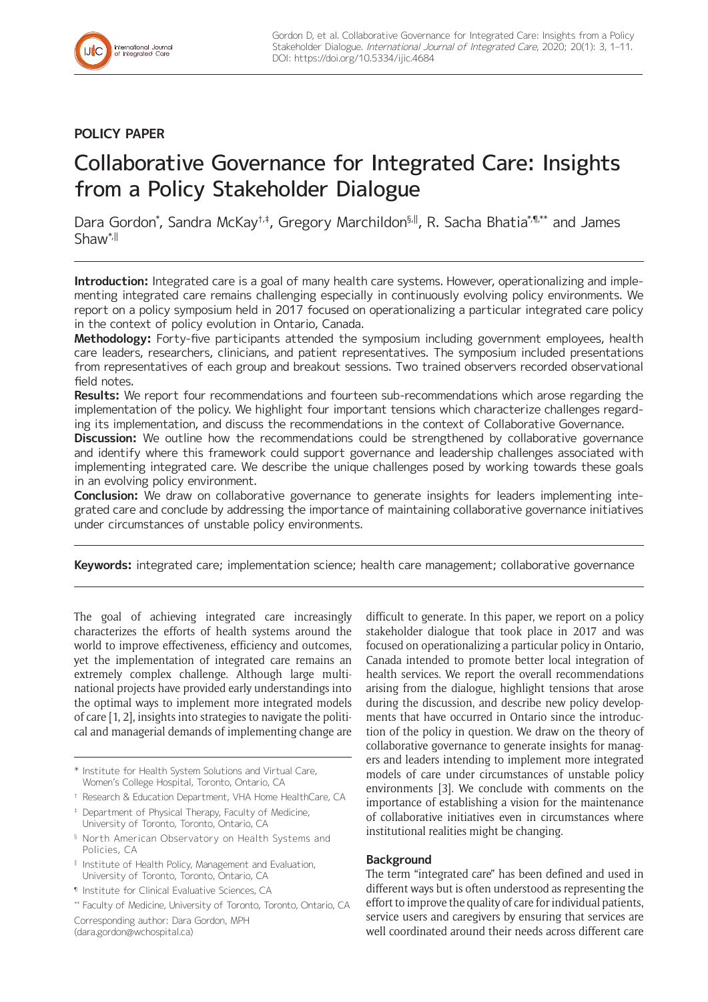## **POLICY PAPER**

# Collaborative Governance for Integrated Care: Insights from a Policy Stakeholder Dialogue

Dara Gordon\*, Sandra McKay†‡, Gregory Marchildon§<sub>,</sub>II, R. Sacha Bhatia\*,¶,\*\* and James Shaw\*,ǁ

**Introduction:** Integrated care is a goal of many health care systems. However, operationalizing and implementing integrated care remains challenging especially in continuously evolving policy environments. We report on a policy symposium held in 2017 focused on operationalizing a particular integrated care policy in the context of policy evolution in Ontario, Canada.

**Methodology:** Forty-five participants attended the symposium including government employees, health care leaders, researchers, clinicians, and patient representatives. The symposium included presentations from representatives of each group and breakout sessions. Two trained observers recorded observational field notes.

**Results:** We report four recommendations and fourteen sub-recommendations which arose regarding the implementation of the policy. We highlight four important tensions which characterize challenges regarding its implementation, and discuss the recommendations in the context of Collaborative Governance.

**Discussion:** We outline how the recommendations could be strengthened by collaborative governance and identify where this framework could support governance and leadership challenges associated with implementing integrated care. We describe the unique challenges posed by working towards these goals in an evolving policy environment.

**Conclusion:** We draw on collaborative governance to generate insights for leaders implementing integrated care and conclude by addressing the importance of maintaining collaborative governance initiatives under circumstances of unstable policy environments.

**Keywords:** integrated care; implementation science; health care management; collaborative governance

The goal of achieving integrated care increasingly characterizes the efforts of health systems around the world to improve effectiveness, efficiency and outcomes, yet the implementation of integrated care remains an extremely complex challenge. Although large multinational projects have provided early understandings into the optimal ways to implement more integrated models of care [1, 2], insights into strategies to navigate the political and managerial demands of implementing change are

- \* Institute for Health System Solutions and Virtual Care, Women's College Hospital, Toronto, Ontario, CA
- † Research & Education Department, VHA Home HealthCare, CA
- ‡ Department of Physical Therapy, Faculty of Medicine, University of Toronto, Toronto, Ontario, CA
- § North American Observatory on Health Systems and Policies, CA
- ‖ Institute of Health Policy, Management and Evaluation, University of Toronto, Toronto, Ontario, CA
- ¶ Institute for Clinical Evaluative Sciences, CA
- \*\* Faculty of Medicine, University of Toronto, Toronto, Ontario, CA

Corresponding author: Dara Gordon, MPH [\(dara.gordon@wchospital.ca\)](mailto:dara.gordon@wchospital.ca)

difficult to generate. In this paper, we report on a policy stakeholder dialogue that took place in 2017 and was focused on operationalizing a particular policy in Ontario, Canada intended to promote better local integration of health services. We report the overall recommendations arising from the dialogue, highlight tensions that arose during the discussion, and describe new policy developments that have occurred in Ontario since the introduction of the policy in question. We draw on the theory of collaborative governance to generate insights for managers and leaders intending to implement more integrated models of care under circumstances of unstable policy environments [3]. We conclude with comments on the importance of establishing a vision for the maintenance of collaborative initiatives even in circumstances where institutional realities might be changing.

## **Background**

The term "integrated care" has been defined and used in different ways but is often understood as representing the effort to improve the quality of care for individual patients, service users and caregivers by ensuring that services are well coordinated around their needs across different care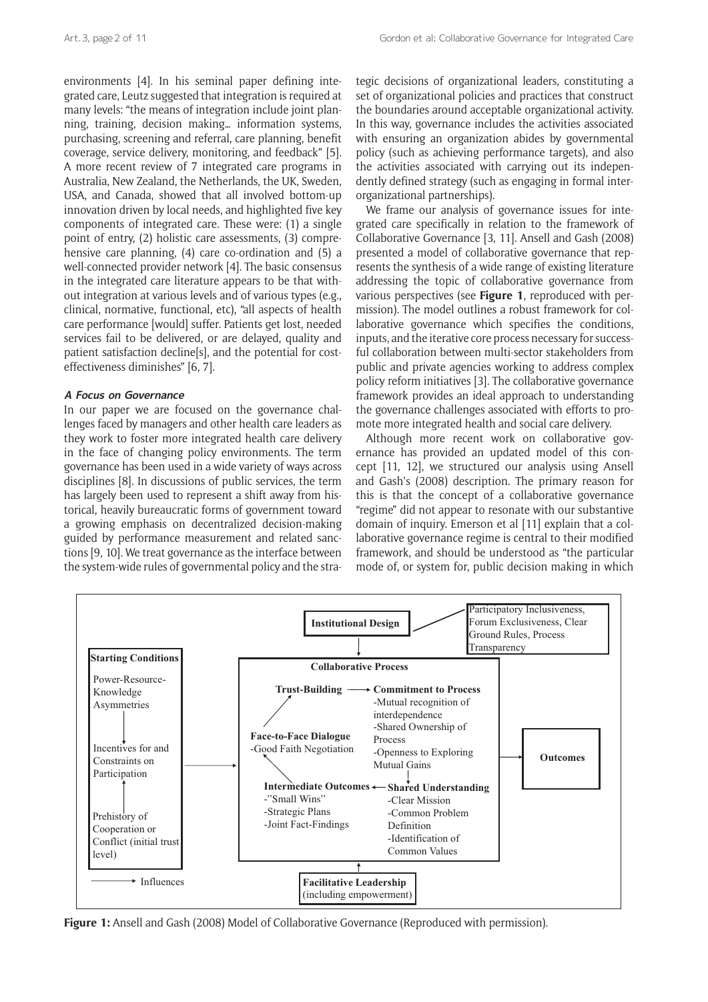environments [4]. In his seminal paper defining integrated care, Leutz suggested that integration is required at many levels: "the means of integration include joint planning, training, decision making… information systems, purchasing, screening and referral, care planning, benefit coverage, service delivery, monitoring, and feedback" [5]. A more recent review of 7 integrated care programs in Australia, New Zealand, the Netherlands, the UK, Sweden, USA, and Canada, showed that all involved bottom-up innovation driven by local needs, and highlighted five key components of integrated care. These were: (1) a single point of entry, (2) holistic care assessments, (3) comprehensive care planning, (4) care co-ordination and (5) a well-connected provider network [4]. The basic consensus in the integrated care literature appears to be that without integration at various levels and of various types (e.g., clinical, normative, functional, etc), "all aspects of health care performance [would] suffer. Patients get lost, needed services fail to be delivered, or are delayed, quality and patient satisfaction decline[s], and the potential for costeffectiveness diminishes" [6, 7].

## **A Focus on Governance**

In our paper we are focused on the governance challenges faced by managers and other health care leaders as they work to foster more integrated health care delivery in the face of changing policy environments. The term governance has been used in a wide variety of ways across disciplines [8]. In discussions of public services, the term has largely been used to represent a shift away from historical, heavily bureaucratic forms of government toward a growing emphasis on decentralized decision-making guided by performance measurement and related sanctions [9, 10]. We treat governance as the interface between the system-wide rules of governmental policy and the stra-

tegic decisions of organizational leaders, constituting a set of organizational policies and practices that construct the boundaries around acceptable organizational activity. In this way, governance includes the activities associated with ensuring an organization abides by governmental policy (such as achieving performance targets), and also the activities associated with carrying out its independently defined strategy (such as engaging in formal interorganizational partnerships).

We frame our analysis of governance issues for integrated care specifically in relation to the framework of Collaborative Governance [3, 11]. Ansell and Gash (2008) presented a model of collaborative governance that represents the synthesis of a wide range of existing literature addressing the topic of collaborative governance from various perspectives (see **Figure 1**, reproduced with permission). The model outlines a robust framework for collaborative governance which specifies the conditions, inputs, and the iterative core process necessary for successful collaboration between multi-sector stakeholders from public and private agencies working to address complex policy reform initiatives [3]. The collaborative governance framework provides an ideal approach to understanding the governance challenges associated with efforts to promote more integrated health and social care delivery.

Although more recent work on collaborative governance has provided an updated model of this concept [11, 12], we structured our analysis using Ansell and Gash's (2008) description. The primary reason for this is that the concept of a collaborative governance "regime" did not appear to resonate with our substantive domain of inquiry. Emerson et al [11] explain that a collaborative governance regime is central to their modified framework, and should be understood as "the particular mode of, or system for, public decision making in which



**Figure 1:** Ansell and Gash (2008) Model of Collaborative Governance (Reproduced with permission).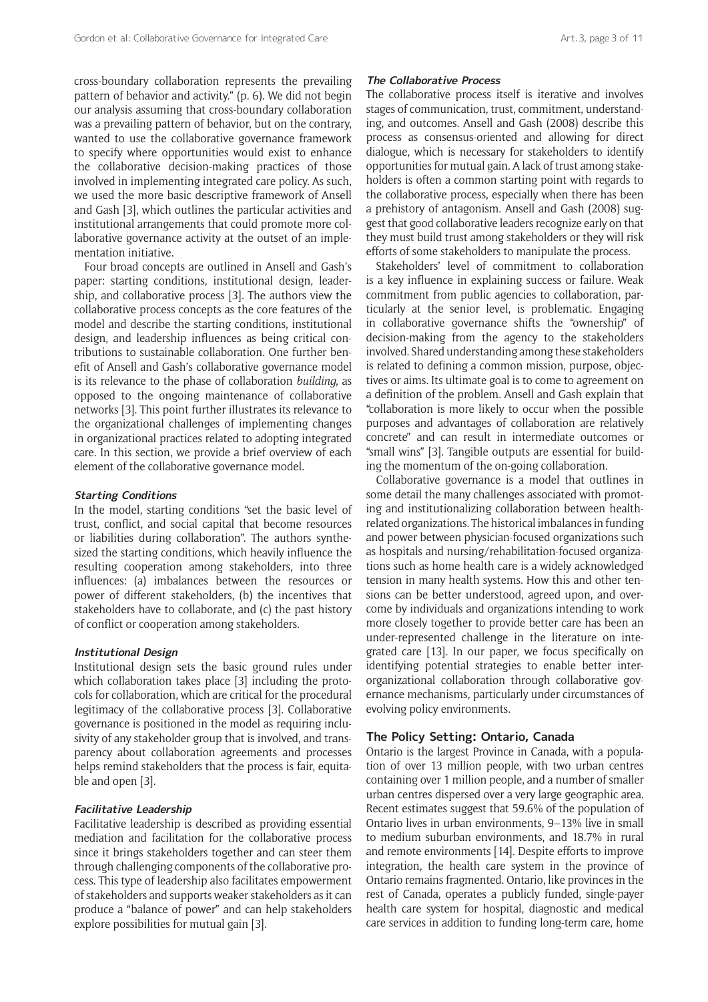cross-boundary collaboration represents the prevailing pattern of behavior and activity." (p. 6). We did not begin our analysis assuming that cross-boundary collaboration was a prevailing pattern of behavior, but on the contrary, wanted to use the collaborative governance framework to specify where opportunities would exist to enhance the collaborative decision-making practices of those involved in implementing integrated care policy. As such, we used the more basic descriptive framework of Ansell and Gash [3], which outlines the particular activities and institutional arrangements that could promote more collaborative governance activity at the outset of an implementation initiative.

Four broad concepts are outlined in Ansell and Gash's paper: starting conditions, institutional design, leadership, and collaborative process [3]. The authors view the collaborative process concepts as the core features of the model and describe the starting conditions, institutional design, and leadership influences as being critical contributions to sustainable collaboration. One further benefit of Ansell and Gash's collaborative governance model is its relevance to the phase of collaboration *building*, as opposed to the ongoing maintenance of collaborative networks [3]. This point further illustrates its relevance to the organizational challenges of implementing changes in organizational practices related to adopting integrated care. In this section, we provide a brief overview of each element of the collaborative governance model.

#### **Starting Conditions**

In the model, starting conditions "set the basic level of trust, conflict, and social capital that become resources or liabilities during collaboration". The authors synthesized the starting conditions, which heavily influence the resulting cooperation among stakeholders, into three influences: (a) imbalances between the resources or power of different stakeholders, (b) the incentives that stakeholders have to collaborate, and (c) the past history of conflict or cooperation among stakeholders.

#### **Institutional Design**

Institutional design sets the basic ground rules under which collaboration takes place [3] including the protocols for collaboration, which are critical for the procedural legitimacy of the collaborative process [3]. Collaborative governance is positioned in the model as requiring inclusivity of any stakeholder group that is involved, and transparency about collaboration agreements and processes helps remind stakeholders that the process is fair, equitable and open [3].

#### **Facilitative Leadership**

Facilitative leadership is described as providing essential mediation and facilitation for the collaborative process since it brings stakeholders together and can steer them through challenging components of the collaborative process. This type of leadership also facilitates empowerment of stakeholders and supports weaker stakeholders as it can produce a "balance of power" and can help stakeholders explore possibilities for mutual gain [3].

#### **The Collaborative Process**

The collaborative process itself is iterative and involves stages of communication, trust, commitment, understanding, and outcomes. Ansell and Gash (2008) describe this process as consensus-oriented and allowing for direct dialogue, which is necessary for stakeholders to identify opportunities for mutual gain. A lack of trust among stakeholders is often a common starting point with regards to the collaborative process, especially when there has been a prehistory of antagonism. Ansell and Gash (2008) suggest that good collaborative leaders recognize early on that they must build trust among stakeholders or they will risk efforts of some stakeholders to manipulate the process.

Stakeholders' level of commitment to collaboration is a key influence in explaining success or failure. Weak commitment from public agencies to collaboration, particularly at the senior level, is problematic. Engaging in collaborative governance shifts the "ownership" of decision-making from the agency to the stakeholders involved. Shared understanding among these stakeholders is related to defining a common mission, purpose, objectives or aims. Its ultimate goal is to come to agreement on a definition of the problem. Ansell and Gash explain that "collaboration is more likely to occur when the possible purposes and advantages of collaboration are relatively concrete" and can result in intermediate outcomes or "small wins" [3]. Tangible outputs are essential for building the momentum of the on-going collaboration.

Collaborative governance is a model that outlines in some detail the many challenges associated with promoting and institutionalizing collaboration between healthrelated organizations. The historical imbalances in funding and power between physician-focused organizations such as hospitals and nursing/rehabilitation-focused organizations such as home health care is a widely acknowledged tension in many health systems. How this and other tensions can be better understood, agreed upon, and overcome by individuals and organizations intending to work more closely together to provide better care has been an under-represented challenge in the literature on integrated care [13]. In our paper, we focus specifically on identifying potential strategies to enable better interorganizational collaboration through collaborative governance mechanisms, particularly under circumstances of evolving policy environments.

#### **The Policy Setting: Ontario, Canada**

Ontario is the largest Province in Canada, with a population of over 13 million people, with two urban centres containing over 1 million people, and a number of smaller urban centres dispersed over a very large geographic area. Recent estimates suggest that 59.6% of the population of Ontario lives in urban environments, 9–13% live in small to medium suburban environments, and 18.7% in rural and remote environments [14]. Despite efforts to improve integration, the health care system in the province of Ontario remains fragmented. Ontario, like provinces in the rest of Canada, operates a publicly funded, single-payer health care system for hospital, diagnostic and medical care services in addition to funding long-term care, home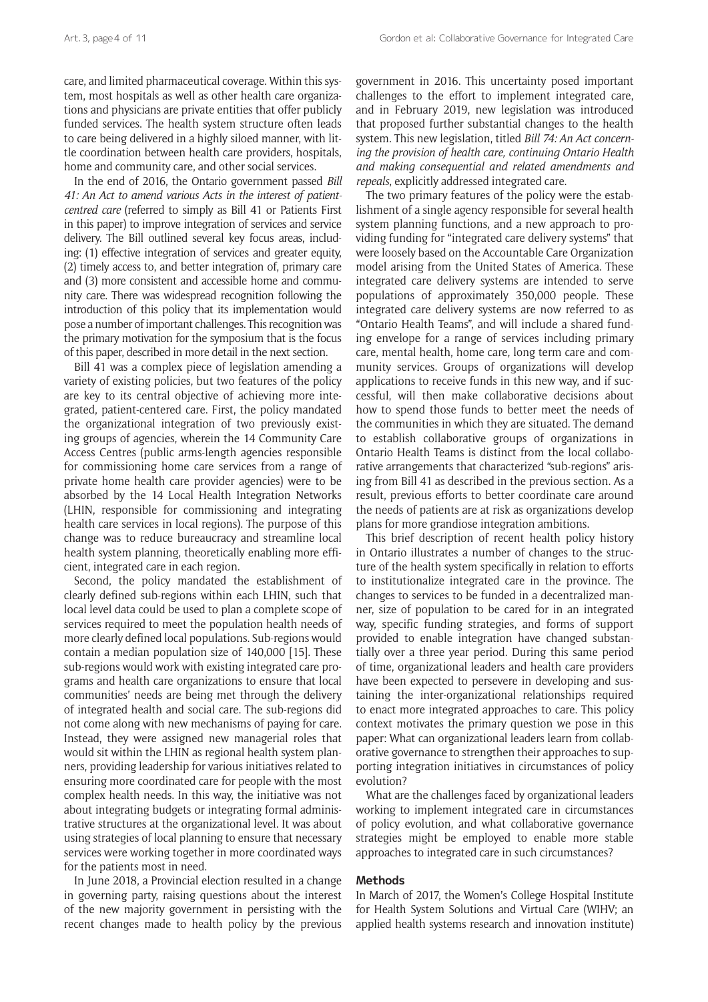care, and limited pharmaceutical coverage. Within this system, most hospitals as well as other health care organizations and physicians are private entities that offer publicly funded services. The health system structure often leads to care being delivered in a highly siloed manner, with little coordination between health care providers, hospitals, home and community care, and other social services.

In the end of 2016, the Ontario government passed *Bill 41: An Act to amend various Acts in the interest of patientcentred care* (referred to simply as Bill 41 or Patients First in this paper) to improve integration of services and service delivery. The Bill outlined several key focus areas, including: (1) effective integration of services and greater equity, (2) timely access to, and better integration of, primary care and (3) more consistent and accessible home and community care. There was widespread recognition following the introduction of this policy that its implementation would pose a number of important challenges. This recognition was the primary motivation for the symposium that is the focus of this paper, described in more detail in the next section.

Bill 41 was a complex piece of legislation amending a variety of existing policies, but two features of the policy are key to its central objective of achieving more integrated, patient-centered care. First, the policy mandated the organizational integration of two previously existing groups of agencies, wherein the 14 Community Care Access Centres (public arms-length agencies responsible for commissioning home care services from a range of private home health care provider agencies) were to be absorbed by the 14 Local Health Integration Networks (LHIN, responsible for commissioning and integrating health care services in local regions). The purpose of this change was to reduce bureaucracy and streamline local health system planning, theoretically enabling more efficient, integrated care in each region.

Second, the policy mandated the establishment of clearly defined sub-regions within each LHIN, such that local level data could be used to plan a complete scope of services required to meet the population health needs of more clearly defined local populations. Sub-regions would contain a median population size of 140,000 [15]. These sub-regions would work with existing integrated care programs and health care organizations to ensure that local communities' needs are being met through the delivery of integrated health and social care. The sub-regions did not come along with new mechanisms of paying for care. Instead, they were assigned new managerial roles that would sit within the LHIN as regional health system planners, providing leadership for various initiatives related to ensuring more coordinated care for people with the most complex health needs. In this way, the initiative was not about integrating budgets or integrating formal administrative structures at the organizational level. It was about using strategies of local planning to ensure that necessary services were working together in more coordinated ways for the patients most in need.

In June 2018, a Provincial election resulted in a change in governing party, raising questions about the interest of the new majority government in persisting with the recent changes made to health policy by the previous government in 2016. This uncertainty posed important challenges to the effort to implement integrated care, and in February 2019, new legislation was introduced that proposed further substantial changes to the health system. This new legislation, titled *Bill 74: An Act concerning the provision of health care, continuing Ontario Health and making consequential and related amendments and repeals*, explicitly addressed integrated care.

The two primary features of the policy were the establishment of a single agency responsible for several health system planning functions, and a new approach to providing funding for "integrated care delivery systems" that were loosely based on the Accountable Care Organization model arising from the United States of America. These integrated care delivery systems are intended to serve populations of approximately 350,000 people. These integrated care delivery systems are now referred to as "Ontario Health Teams", and will include a shared funding envelope for a range of services including primary care, mental health, home care, long term care and community services. Groups of organizations will develop applications to receive funds in this new way, and if successful, will then make collaborative decisions about how to spend those funds to better meet the needs of the communities in which they are situated. The demand to establish collaborative groups of organizations in Ontario Health Teams is distinct from the local collaborative arrangements that characterized "sub-regions" arising from Bill 41 as described in the previous section. As a result, previous efforts to better coordinate care around the needs of patients are at risk as organizations develop plans for more grandiose integration ambitions.

This brief description of recent health policy history in Ontario illustrates a number of changes to the structure of the health system specifically in relation to efforts to institutionalize integrated care in the province. The changes to services to be funded in a decentralized manner, size of population to be cared for in an integrated way, specific funding strategies, and forms of support provided to enable integration have changed substantially over a three year period. During this same period of time, organizational leaders and health care providers have been expected to persevere in developing and sustaining the inter-organizational relationships required to enact more integrated approaches to care. This policy context motivates the primary question we pose in this paper: What can organizational leaders learn from collaborative governance to strengthen their approaches to supporting integration initiatives in circumstances of policy evolution?

What are the challenges faced by organizational leaders working to implement integrated care in circumstances of policy evolution, and what collaborative governance strategies might be employed to enable more stable approaches to integrated care in such circumstances?

## **Methods**

In March of 2017, the Women's College Hospital Institute for Health System Solutions and Virtual Care (WIHV; an applied health systems research and innovation institute)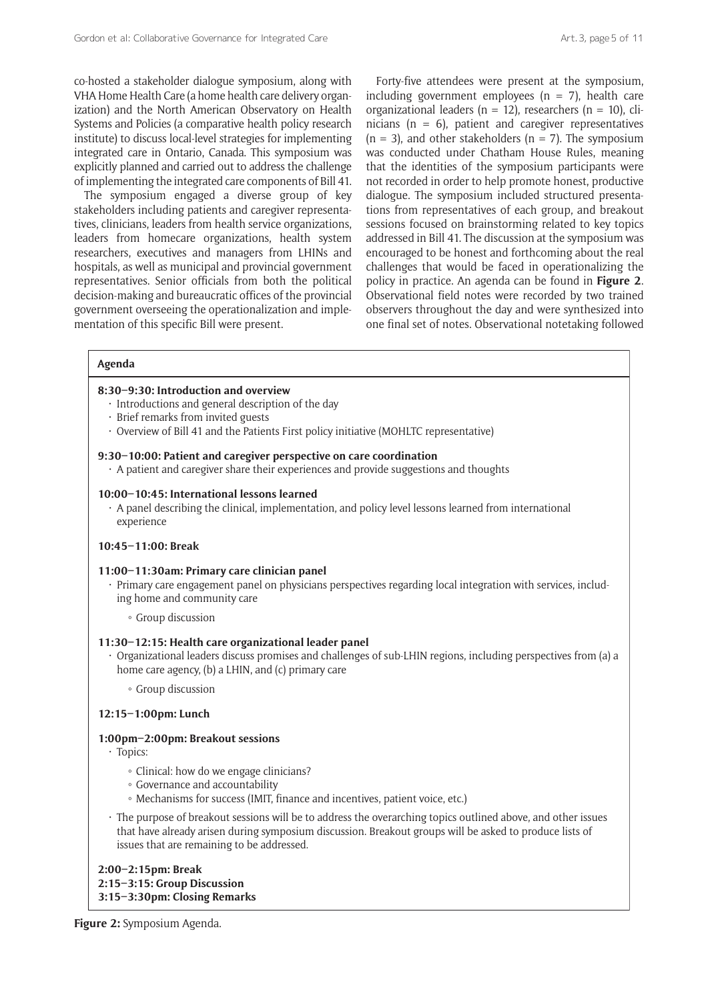co-hosted a stakeholder dialogue symposium, along with VHA Home Health Care (a home health care delivery organization) and the North American Observatory on Health Systems and Policies (a comparative health policy research institute) to discuss local-level strategies for implementing integrated care in Ontario, Canada. This symposium was explicitly planned and carried out to address the challenge of implementing the integrated care components of Bill 41.

The symposium engaged a diverse group of key stakeholders including patients and caregiver representatives, clinicians, leaders from health service organizations, leaders from homecare organizations, health system researchers, executives and managers from LHINs and hospitals, as well as municipal and provincial government representatives. Senior officials from both the political decision-making and bureaucratic offices of the provincial government overseeing the operationalization and implementation of this specific Bill were present.

Forty-five attendees were present at the symposium, including government employees ( $n = 7$ ), health care organizational leaders ( $n = 12$ ), researchers ( $n = 10$ ), clinicians ( $n = 6$ ), patient and caregiver representatives  $(n = 3)$ , and other stakeholders  $(n = 7)$ . The symposium was conducted under Chatham House Rules, meaning that the identities of the symposium participants were not recorded in order to help promote honest, productive dialogue. The symposium included structured presentations from representatives of each group, and breakout sessions focused on brainstorming related to key topics addressed in Bill 41. The discussion at the symposium was encouraged to be honest and forthcoming about the real challenges that would be faced in operationalizing the policy in practice. An agenda can be found in **Figure 2**. Observational field notes were recorded by two trained observers throughout the day and were synthesized into one final set of notes. Observational notetaking followed

## **Agenda**

#### **8:30–9:30: Introduction and overview**

- Introductions and general description of the day
- Brief remarks from invited guests
- Overview of Bill 41 and the Patients First policy initiative (MOHLTC representative)

#### **9:30–10:00: Patient and caregiver perspective on care coordination**

• A patient and caregiver share their experiences and provide suggestions and thoughts

#### **10:00–10:45: International lessons learned**

• A panel describing the clinical, implementation, and policy level lessons learned from international experience

#### **10:45–11:00: Break**

#### **11:00–11:30am: Primary care clinician panel**

- Primary care engagement panel on physicians perspectives regarding local integration with services, including home and community care
	- Group discussion

#### **11:30–12:15: Health care organizational leader panel**

- Organizational leaders discuss promises and challenges of sub-LHIN regions, including perspectives from (a) a home care agency, (b) a LHIN, and (c) primary care
	- Group discussion

## **12:15–1:00pm: Lunch**

## **1:00pm–2:00pm: Breakout sessions**

- Topics:
	- Clinical: how do we engage clinicians?
	- Governance and accountability
	- Mechanisms for success (IMIT, finance and incentives, patient voice, etc.)
- The purpose of breakout sessions will be to address the overarching topics outlined above, and other issues that have already arisen during symposium discussion. Breakout groups will be asked to produce lists of issues that are remaining to be addressed.

## **2:00–2:15pm: Break 2:15–3:15: Group Discussion 3:15–3:30pm: Closing Remarks**

**Figure 2:** Symposium Agenda.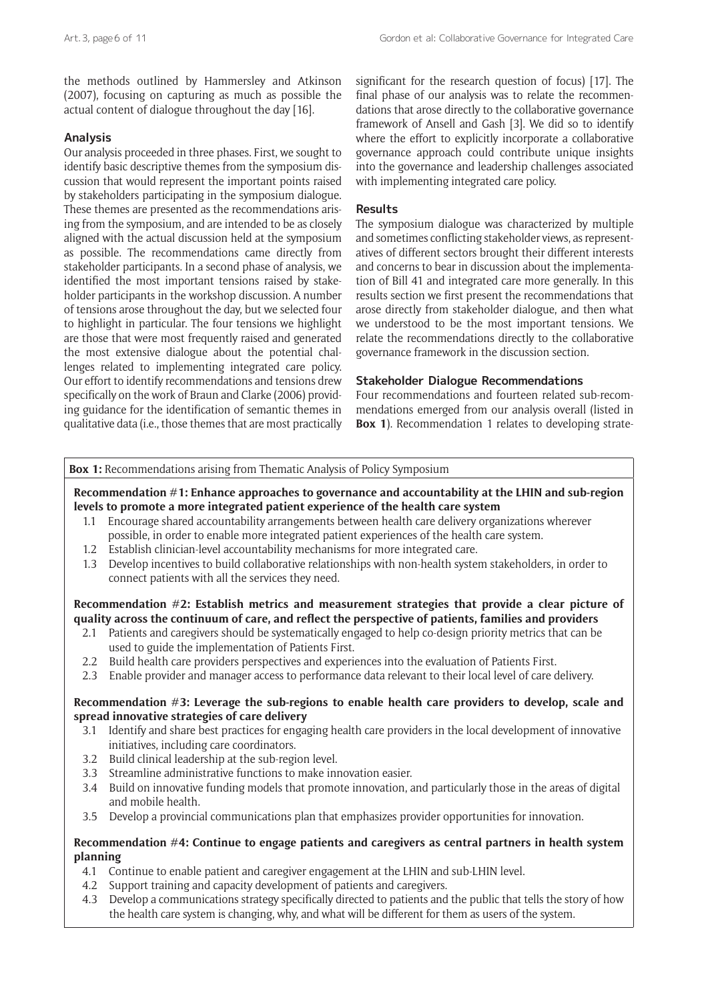the methods outlined by Hammersley and Atkinson (2007), focusing on capturing as much as possible the actual content of dialogue throughout the day [16].

## **Analysis**

Our analysis proceeded in three phases. First, we sought to identify basic descriptive themes from the symposium discussion that would represent the important points raised by stakeholders participating in the symposium dialogue. These themes are presented as the recommendations arising from the symposium, and are intended to be as closely aligned with the actual discussion held at the symposium as possible. The recommendations came directly from stakeholder participants. In a second phase of analysis, we identified the most important tensions raised by stakeholder participants in the workshop discussion. A number of tensions arose throughout the day, but we selected four to highlight in particular. The four tensions we highlight are those that were most frequently raised and generated the most extensive dialogue about the potential challenges related to implementing integrated care policy. Our effort to identify recommendations and tensions drew specifically on the work of Braun and Clarke (2006) providing guidance for the identification of semantic themes in qualitative data (i.e., those themes that are most practically significant for the research question of focus) [17]. The final phase of our analysis was to relate the recommendations that arose directly to the collaborative governance framework of Ansell and Gash [3]. We did so to identify where the effort to explicitly incorporate a collaborative governance approach could contribute unique insights into the governance and leadership challenges associated with implementing integrated care policy.

## **Results**

The symposium dialogue was characterized by multiple and sometimes conflicting stakeholder views, as representatives of different sectors brought their different interests and concerns to bear in discussion about the implementation of Bill 41 and integrated care more generally. In this results section we first present the recommendations that arose directly from stakeholder dialogue, and then what we understood to be the most important tensions. We relate the recommendations directly to the collaborative governance framework in the discussion section.

## **Stakeholder Dialogue Recommendations**

Four recommendations and fourteen related sub-recommendations emerged from our analysis overall (listed in **Box 1**). Recommendation 1 relates to developing strate-

## **Box 1:** Recommendations arising from Thematic Analysis of Policy Symposium

## **Recommendation #1: Enhance approaches to governance and accountability at the LHIN and sub-region levels to promote a more integrated patient experience of the health care system**

- 1.1 Encourage shared accountability arrangements between health care delivery organizations wherever possible, in order to enable more integrated patient experiences of the health care system.
- 1.2 Establish clinician-level accountability mechanisms for more integrated care.
- 1.3 Develop incentives to build collaborative relationships with non-health system stakeholders, in order to connect patients with all the services they need.

## **Recommendation #2: Establish metrics and measurement strategies that provide a clear picture of quality across the continuum of care, and reflect the perspective of patients, families and providers**

- 2.1 Patients and caregivers should be systematically engaged to help co-design priority metrics that can be used to guide the implementation of Patients First.
- 2.2 Build health care providers perspectives and experiences into the evaluation of Patients First.
- 2.3 Enable provider and manager access to performance data relevant to their local level of care delivery.

## **Recommendation #3: Leverage the sub-regions to enable health care providers to develop, scale and spread innovative strategies of care delivery**

- 3.1 Identify and share best practices for engaging health care providers in the local development of innovative initiatives, including care coordinators.
- 3.2 Build clinical leadership at the sub-region level.
- 3.3 Streamline administrative functions to make innovation easier.
- 3.4 Build on innovative funding models that promote innovation, and particularly those in the areas of digital and mobile health.
- 3.5 Develop a provincial communications plan that emphasizes provider opportunities for innovation.

## **Recommendation #4: Continue to engage patients and caregivers as central partners in health system planning**

- 4.1 Continue to enable patient and caregiver engagement at the LHIN and sub-LHIN level.
- 4.2 Support training and capacity development of patients and caregivers.
- 4.3 Develop a communications strategy specifically directed to patients and the public that tells the story of how the health care system is changing, why, and what will be different for them as users of the system.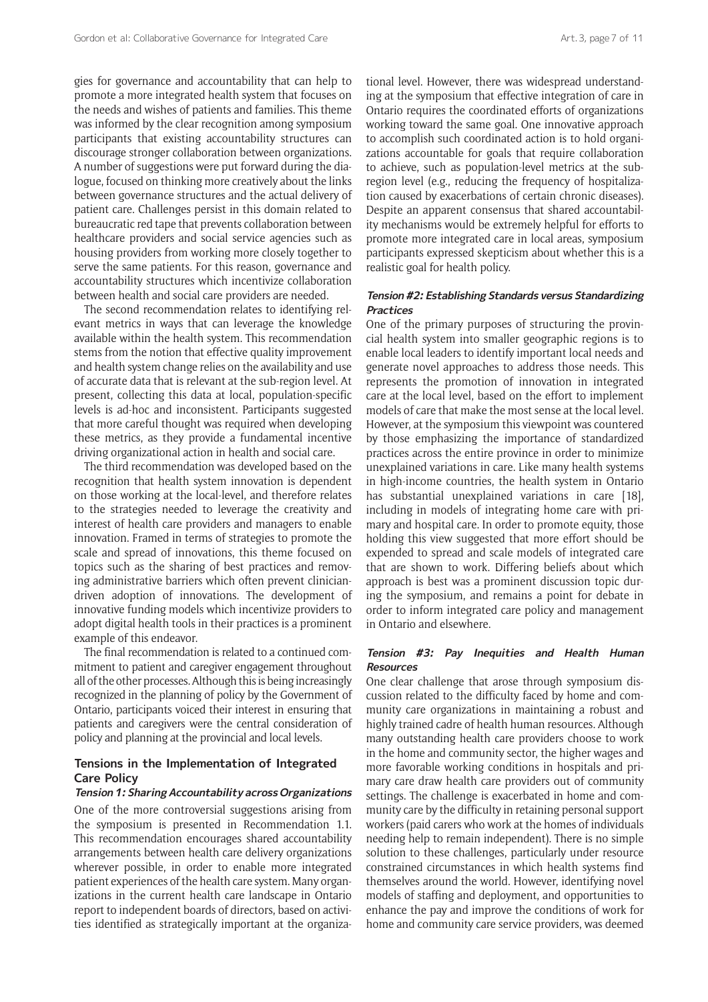gies for governance and accountability that can help to promote a more integrated health system that focuses on the needs and wishes of patients and families. This theme was informed by the clear recognition among symposium participants that existing accountability structures can discourage stronger collaboration between organizations. A number of suggestions were put forward during the dialogue, focused on thinking more creatively about the links between governance structures and the actual delivery of patient care. Challenges persist in this domain related to bureaucratic red tape that prevents collaboration between healthcare providers and social service agencies such as housing providers from working more closely together to serve the same patients. For this reason, governance and accountability structures which incentivize collaboration between health and social care providers are needed.

The second recommendation relates to identifying relevant metrics in ways that can leverage the knowledge available within the health system. This recommendation stems from the notion that effective quality improvement and health system change relies on the availability and use of accurate data that is relevant at the sub-region level. At present, collecting this data at local, population-specific levels is ad-hoc and inconsistent. Participants suggested that more careful thought was required when developing these metrics, as they provide a fundamental incentive driving organizational action in health and social care.

The third recommendation was developed based on the recognition that health system innovation is dependent on those working at the local-level, and therefore relates to the strategies needed to leverage the creativity and interest of health care providers and managers to enable innovation. Framed in terms of strategies to promote the scale and spread of innovations, this theme focused on topics such as the sharing of best practices and removing administrative barriers which often prevent cliniciandriven adoption of innovations. The development of innovative funding models which incentivize providers to adopt digital health tools in their practices is a prominent example of this endeavor.

The final recommendation is related to a continued commitment to patient and caregiver engagement throughout all of the other processes. Although this is being increasingly recognized in the planning of policy by the Government of Ontario, participants voiced their interest in ensuring that patients and caregivers were the central consideration of policy and planning at the provincial and local levels.

## **Tensions in the Implementation of Integrated Care Policy**

#### **Tension 1: Sharing Accountability across Organizations**

One of the more controversial suggestions arising from the symposium is presented in Recommendation 1.1. This recommendation encourages shared accountability arrangements between health care delivery organizations wherever possible, in order to enable more integrated patient experiences of the health care system. Many organizations in the current health care landscape in Ontario report to independent boards of directors, based on activities identified as strategically important at the organizational level. However, there was widespread understanding at the symposium that effective integration of care in Ontario requires the coordinated efforts of organizations working toward the same goal. One innovative approach to accomplish such coordinated action is to hold organizations accountable for goals that require collaboration to achieve, such as population-level metrics at the subregion level (e.g., reducing the frequency of hospitalization caused by exacerbations of certain chronic diseases). Despite an apparent consensus that shared accountability mechanisms would be extremely helpful for efforts to promote more integrated care in local areas, symposium participants expressed skepticism about whether this is a realistic goal for health policy.

## **Tension #2: Establishing Standards versus Standardizing Practices**

One of the primary purposes of structuring the provincial health system into smaller geographic regions is to enable local leaders to identify important local needs and generate novel approaches to address those needs. This represents the promotion of innovation in integrated care at the local level, based on the effort to implement models of care that make the most sense at the local level. However, at the symposium this viewpoint was countered by those emphasizing the importance of standardized practices across the entire province in order to minimize unexplained variations in care. Like many health systems in high-income countries, the health system in Ontario has substantial unexplained variations in care [18], including in models of integrating home care with primary and hospital care. In order to promote equity, those holding this view suggested that more effort should be expended to spread and scale models of integrated care that are shown to work. Differing beliefs about which approach is best was a prominent discussion topic during the symposium, and remains a point for debate in order to inform integrated care policy and management in Ontario and elsewhere.

#### **Tension #3: Pay Inequities and Health Human Resources**

One clear challenge that arose through symposium discussion related to the difficulty faced by home and community care organizations in maintaining a robust and highly trained cadre of health human resources. Although many outstanding health care providers choose to work in the home and community sector, the higher wages and more favorable working conditions in hospitals and primary care draw health care providers out of community settings. The challenge is exacerbated in home and community care by the difficulty in retaining personal support workers (paid carers who work at the homes of individuals needing help to remain independent). There is no simple solution to these challenges, particularly under resource constrained circumstances in which health systems find themselves around the world. However, identifying novel models of staffing and deployment, and opportunities to enhance the pay and improve the conditions of work for home and community care service providers, was deemed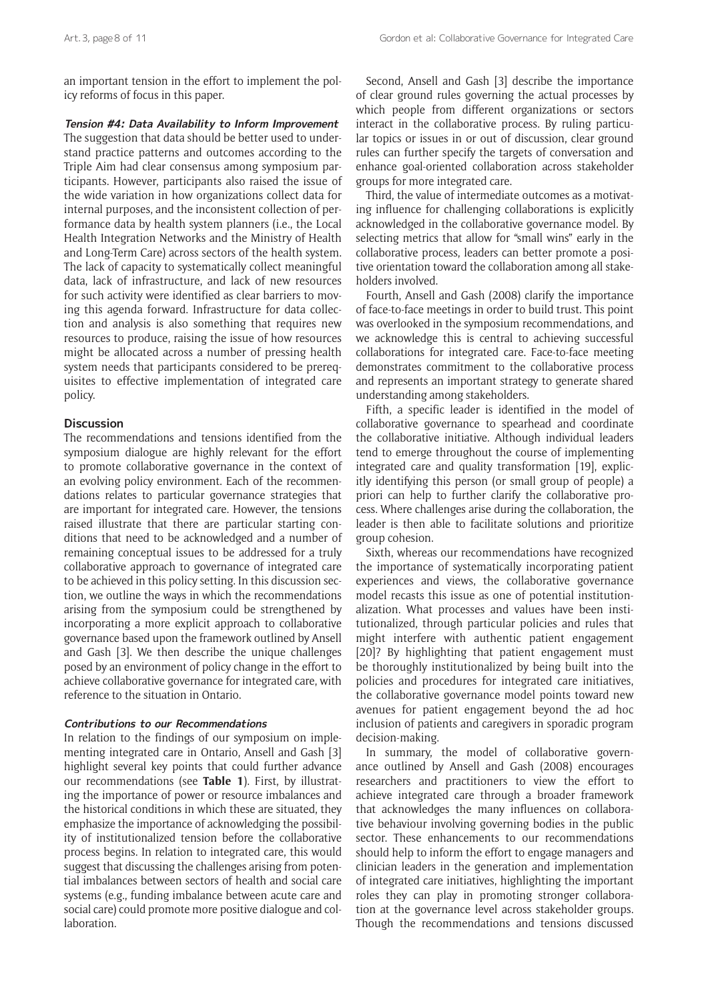an important tension in the effort to implement the policy reforms of focus in this paper.

**Tension #4: Data Availability to Inform Improvement** The suggestion that data should be better used to understand practice patterns and outcomes according to the Triple Aim had clear consensus among symposium participants. However, participants also raised the issue of the wide variation in how organizations collect data for internal purposes, and the inconsistent collection of performance data by health system planners (i.e., the Local Health Integration Networks and the Ministry of Health and Long-Term Care) across sectors of the health system. The lack of capacity to systematically collect meaningful data, lack of infrastructure, and lack of new resources for such activity were identified as clear barriers to moving this agenda forward. Infrastructure for data collection and analysis is also something that requires new resources to produce, raising the issue of how resources might be allocated across a number of pressing health system needs that participants considered to be prerequisites to effective implementation of integrated care policy.

## **Discussion**

The recommendations and tensions identified from the symposium dialogue are highly relevant for the effort to promote collaborative governance in the context of an evolving policy environment. Each of the recommendations relates to particular governance strategies that are important for integrated care. However, the tensions raised illustrate that there are particular starting conditions that need to be acknowledged and a number of remaining conceptual issues to be addressed for a truly collaborative approach to governance of integrated care to be achieved in this policy setting. In this discussion section, we outline the ways in which the recommendations arising from the symposium could be strengthened by incorporating a more explicit approach to collaborative governance based upon the framework outlined by Ansell and Gash [3]. We then describe the unique challenges posed by an environment of policy change in the effort to achieve collaborative governance for integrated care, with reference to the situation in Ontario.

## **Contributions to our Recommendations**

In relation to the findings of our symposium on implementing integrated care in Ontario, Ansell and Gash [3] highlight several key points that could further advance our recommendations (see **Table 1**). First, by illustrating the importance of power or resource imbalances and the historical conditions in which these are situated, they emphasize the importance of acknowledging the possibility of institutionalized tension before the collaborative process begins. In relation to integrated care, this would suggest that discussing the challenges arising from potential imbalances between sectors of health and social care systems (e.g., funding imbalance between acute care and social care) could promote more positive dialogue and collaboration.

Second, Ansell and Gash [3] describe the importance of clear ground rules governing the actual processes by which people from different organizations or sectors interact in the collaborative process. By ruling particular topics or issues in or out of discussion, clear ground rules can further specify the targets of conversation and enhance goal-oriented collaboration across stakeholder groups for more integrated care.

Third, the value of intermediate outcomes as a motivating influence for challenging collaborations is explicitly acknowledged in the collaborative governance model. By selecting metrics that allow for "small wins" early in the collaborative process, leaders can better promote a positive orientation toward the collaboration among all stakeholders involved.

Fourth, Ansell and Gash (2008) clarify the importance of face-to-face meetings in order to build trust. This point was overlooked in the symposium recommendations, and we acknowledge this is central to achieving successful collaborations for integrated care. Face-to-face meeting demonstrates commitment to the collaborative process and represents an important strategy to generate shared understanding among stakeholders.

Fifth, a specific leader is identified in the model of collaborative governance to spearhead and coordinate the collaborative initiative. Although individual leaders tend to emerge throughout the course of implementing integrated care and quality transformation [19], explicitly identifying this person (or small group of people) a priori can help to further clarify the collaborative process. Where challenges arise during the collaboration, the leader is then able to facilitate solutions and prioritize group cohesion.

Sixth, whereas our recommendations have recognized the importance of systematically incorporating patient experiences and views, the collaborative governance model recasts this issue as one of potential institutionalization. What processes and values have been institutionalized, through particular policies and rules that might interfere with authentic patient engagement [20]? By highlighting that patient engagement must be thoroughly institutionalized by being built into the policies and procedures for integrated care initiatives, the collaborative governance model points toward new avenues for patient engagement beyond the ad hoc inclusion of patients and caregivers in sporadic program decision-making.

In summary, the model of collaborative governance outlined by Ansell and Gash (2008) encourages researchers and practitioners to view the effort to achieve integrated care through a broader framework that acknowledges the many influences on collaborative behaviour involving governing bodies in the public sector. These enhancements to our recommendations should help to inform the effort to engage managers and clinician leaders in the generation and implementation of integrated care initiatives, highlighting the important roles they can play in promoting stronger collaboration at the governance level across stakeholder groups. Though the recommendations and tensions discussed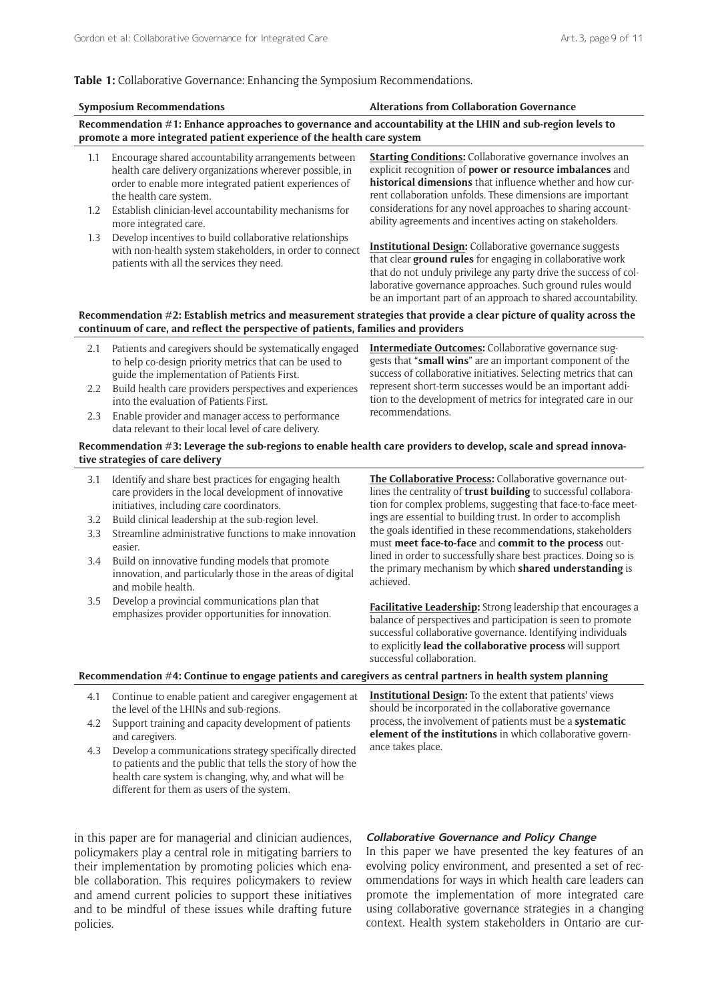#### **Table 1:** Collaborative Governance: Enhancing the Symposium Recommendations.

|                                                                                                                                                                                                          | <b>Symposium Recommendations</b>                                                                                                                                                                                                                                                                                                                                                     | <b>Alterations from Collaboration Governance</b>                                                                                                                                                                                                                                                                                                                                    |
|----------------------------------------------------------------------------------------------------------------------------------------------------------------------------------------------------------|--------------------------------------------------------------------------------------------------------------------------------------------------------------------------------------------------------------------------------------------------------------------------------------------------------------------------------------------------------------------------------------|-------------------------------------------------------------------------------------------------------------------------------------------------------------------------------------------------------------------------------------------------------------------------------------------------------------------------------------------------------------------------------------|
| Recommendation #1: Enhance approaches to governance and accountability at the LHIN and sub-region levels to<br>promote a more integrated patient experience of the health care system                    |                                                                                                                                                                                                                                                                                                                                                                                      |                                                                                                                                                                                                                                                                                                                                                                                     |
| 1.1<br>1.2                                                                                                                                                                                               | Encourage shared accountability arrangements between<br>health care delivery organizations wherever possible, in<br>order to enable more integrated patient experiences of<br>the health care system.<br>Establish clinician-level accountability mechanisms for<br>more integrated care.                                                                                            | <b>Starting Conditions:</b> Collaborative governance involves an<br>explicit recognition of power or resource imbalances and<br>historical dimensions that influence whether and how cur-<br>rent collaboration unfolds. These dimensions are important<br>considerations for any novel approaches to sharing account-<br>ability agreements and incentives acting on stakeholders. |
| 1.3                                                                                                                                                                                                      | Develop incentives to build collaborative relationships<br>with non-health system stakeholders, in order to connect<br>patients with all the services they need.                                                                                                                                                                                                                     | <b>Institutional Design:</b> Collaborative governance suggests<br>that clear ground rules for engaging in collaborative work<br>that do not unduly privilege any party drive the success of col-<br>laborative governance approaches. Such ground rules would<br>be an important part of an approach to shared accountability.                                                      |
| Recommendation #2: Establish metrics and measurement strategies that provide a clear picture of quality across the<br>continuum of care, and reflect the perspective of patients, families and providers |                                                                                                                                                                                                                                                                                                                                                                                      |                                                                                                                                                                                                                                                                                                                                                                                     |
| 2.1<br>2.2<br>2.3                                                                                                                                                                                        | Patients and caregivers should be systematically engaged<br>to help co-design priority metrics that can be used to<br>guide the implementation of Patients First.<br>Build health care providers perspectives and experiences<br>into the evaluation of Patients First.<br>Enable provider and manager access to performance<br>data relevant to their local level of care delivery. | Intermediate Outcomes: Collaborative governance sug-<br>gests that "small wins" are an important component of the<br>success of collaborative initiatives. Selecting metrics that can<br>represent short-term successes would be an important addi-<br>tion to the development of metrics for integrated care in our<br>recommendations.                                            |
| Recommendation #3: Leverage the sub-regions to enable health care providers to develop, scale and spread innova-<br>tive strategies of care delivery                                                     |                                                                                                                                                                                                                                                                                                                                                                                      |                                                                                                                                                                                                                                                                                                                                                                                     |
| 3.1                                                                                                                                                                                                      | Identify and share best practices for engaging health<br>care providers in the local development of innovative<br>initiatives, including care coordinators.                                                                                                                                                                                                                          | The Collaborative Process: Collaborative governance out-<br>lines the centrality of trust building to successful collabora-<br>tion for complex problems, suggesting that face-to-face meet-                                                                                                                                                                                        |
| 3.2<br>3.3                                                                                                                                                                                               | Build clinical leadership at the sub-region level.<br>Streamline administrative functions to make innovation<br>easier.                                                                                                                                                                                                                                                              | ings are essential to building trust. In order to accomplish<br>the goals identified in these recommendations, stakeholders<br>must meet face-to-face and commit to the process out-                                                                                                                                                                                                |
| 3.4                                                                                                                                                                                                      | Build on innovative funding models that promote<br>innovation, and particularly those in the areas of digital<br>and mobile health.                                                                                                                                                                                                                                                  | lined in order to successfully share best practices. Doing so is<br>the primary mechanism by which shared understanding is<br>achieved.                                                                                                                                                                                                                                             |
| 3.5                                                                                                                                                                                                      | Develop a provincial communications plan that<br>emphasizes provider opportunities for innovation.                                                                                                                                                                                                                                                                                   | Facilitative Leadership: Strong leadership that encourages a<br>belance of permeetings and perticipation is seen to promote                                                                                                                                                                                                                                                         |

balance of perspectives and participation is seen to promote successful collaborative governance. Identifying individuals to explicitly **lead the collaborative process** will support successful collaboration.

## **Recommendation #4: Continue to engage patients and caregivers as central partners in health system planning**

- 4.1 Continue to enable patient and caregiver engagement at the level of the LHINs and sub-regions.
- 4.2 Support training and capacity development of patients and caregivers.
- 4.3 Develop a communications strategy specifically directed to patients and the public that tells the story of how the health care system is changing, why, and what will be different for them as users of the system.

**Institutional Design:** To the extent that patients' views should be incorporated in the collaborative governance process, the involvement of patients must be a **systematic element of the institutions** in which collaborative governance takes place.

in this paper are for managerial and clinician audiences, policymakers play a central role in mitigating barriers to their implementation by promoting policies which enable collaboration. This requires policymakers to review and amend current policies to support these initiatives and to be mindful of these issues while drafting future policies.

## **Collaborative Governance and Policy Change**

In this paper we have presented the key features of an evolving policy environment, and presented a set of recommendations for ways in which health care leaders can promote the implementation of more integrated care using collaborative governance strategies in a changing context. Health system stakeholders in Ontario are cur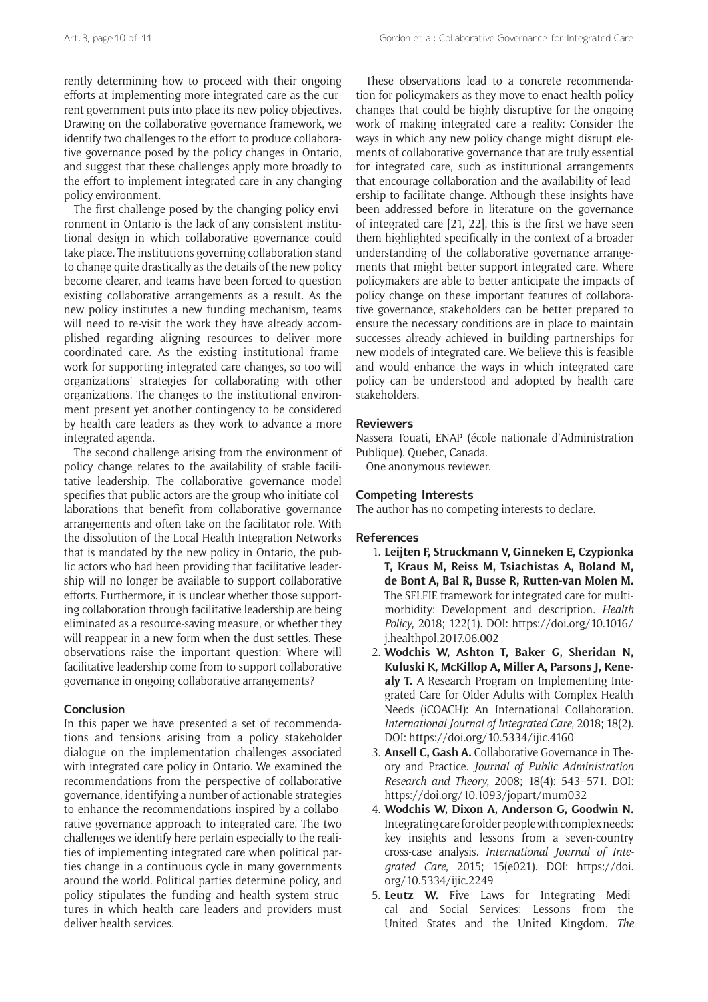rently determining how to proceed with their ongoing efforts at implementing more integrated care as the current government puts into place its new policy objectives. Drawing on the collaborative governance framework, we identify two challenges to the effort to produce collaborative governance posed by the policy changes in Ontario, and suggest that these challenges apply more broadly to the effort to implement integrated care in any changing policy environment.

The first challenge posed by the changing policy environment in Ontario is the lack of any consistent institutional design in which collaborative governance could take place. The institutions governing collaboration stand to change quite drastically as the details of the new policy become clearer, and teams have been forced to question existing collaborative arrangements as a result. As the new policy institutes a new funding mechanism, teams will need to re-visit the work they have already accomplished regarding aligning resources to deliver more coordinated care. As the existing institutional framework for supporting integrated care changes, so too will organizations' strategies for collaborating with other organizations. The changes to the institutional environment present yet another contingency to be considered by health care leaders as they work to advance a more integrated agenda.

The second challenge arising from the environment of policy change relates to the availability of stable facilitative leadership. The collaborative governance model specifies that public actors are the group who initiate collaborations that benefit from collaborative governance arrangements and often take on the facilitator role. With the dissolution of the Local Health Integration Networks that is mandated by the new policy in Ontario, the public actors who had been providing that facilitative leadership will no longer be available to support collaborative efforts. Furthermore, it is unclear whether those supporting collaboration through facilitative leadership are being eliminated as a resource-saving measure, or whether they will reappear in a new form when the dust settles. These observations raise the important question: Where will facilitative leadership come from to support collaborative governance in ongoing collaborative arrangements?

## **Conclusion**

In this paper we have presented a set of recommendations and tensions arising from a policy stakeholder dialogue on the implementation challenges associated with integrated care policy in Ontario. We examined the recommendations from the perspective of collaborative governance, identifying a number of actionable strategies to enhance the recommendations inspired by a collaborative governance approach to integrated care. The two challenges we identify here pertain especially to the realities of implementing integrated care when political parties change in a continuous cycle in many governments around the world. Political parties determine policy, and policy stipulates the funding and health system structures in which health care leaders and providers must deliver health services.

These observations lead to a concrete recommendation for policymakers as they move to enact health policy changes that could be highly disruptive for the ongoing work of making integrated care a reality: Consider the ways in which any new policy change might disrupt elements of collaborative governance that are truly essential for integrated care, such as institutional arrangements that encourage collaboration and the availability of leadership to facilitate change. Although these insights have been addressed before in literature on the governance of integrated care [21, 22], this is the first we have seen them highlighted specifically in the context of a broader understanding of the collaborative governance arrangements that might better support integrated care. Where policymakers are able to better anticipate the impacts of policy change on these important features of collaborative governance, stakeholders can be better prepared to ensure the necessary conditions are in place to maintain successes already achieved in building partnerships for new models of integrated care. We believe this is feasible and would enhance the ways in which integrated care policy can be understood and adopted by health care stakeholders.

## **Reviewers**

Nassera Touati, ENAP (école nationale d'Administration Publique). Quebec, Canada.

One anonymous reviewer.

## **Competing Interests**

The author has no competing interests to declare.

## **References**

- 1. **Leijten F, Struckmann V, Ginneken E, Czypionka T, Kraus M, Reiss M, Tsiachistas A, Boland M, de Bont A, Bal R, Busse R, Rutten-van Molen M.** The SELFIE framework for integrated care for multimorbidity: Development and description. *Health Policy*, 2018; 122(1). DOI: [https://doi.org/10.1016/](https://doi.org/10.1016/j.healthpol.2017.06.002) [j.healthpol.2017.06.002](https://doi.org/10.1016/j.healthpol.2017.06.002)
- 2. **Wodchis W, Ashton T, Baker G, Sheridan N, Kuluski K, McKillop A, Miller A, Parsons J, Kenealy T.** A Research Program on Implementing Integrated Care for Older Adults with Complex Health Needs (iCOACH): An International Collaboration. *International Journal of Integrated Care*, 2018; 18(2). DOI:<https://doi.org/10.5334/ijic.4160>
- 3. **Ansell C, Gash A.** Collaborative Governance in Theory and Practice. *Journal of Public Administration Research and Theory*, 2008; 18(4): 543–571. DOI: <https://doi.org/10.1093/jopart/mum032>
- 4. **Wodchis W, Dixon A, Anderson G, Goodwin N.** Integrating care for older people with complex needs: key insights and lessons from a seven-country cross-case analysis. *International Journal of Integrated Care*, 2015; 15(e021). DOI: [https://doi.](https://doi.org/10.5334/ijic.2249) [org/10.5334/ijic.2249](https://doi.org/10.5334/ijic.2249)
- 5. **Leutz W.** Five Laws for Integrating Medical and Social Services: Lessons from the United States and the United Kingdom. *The*